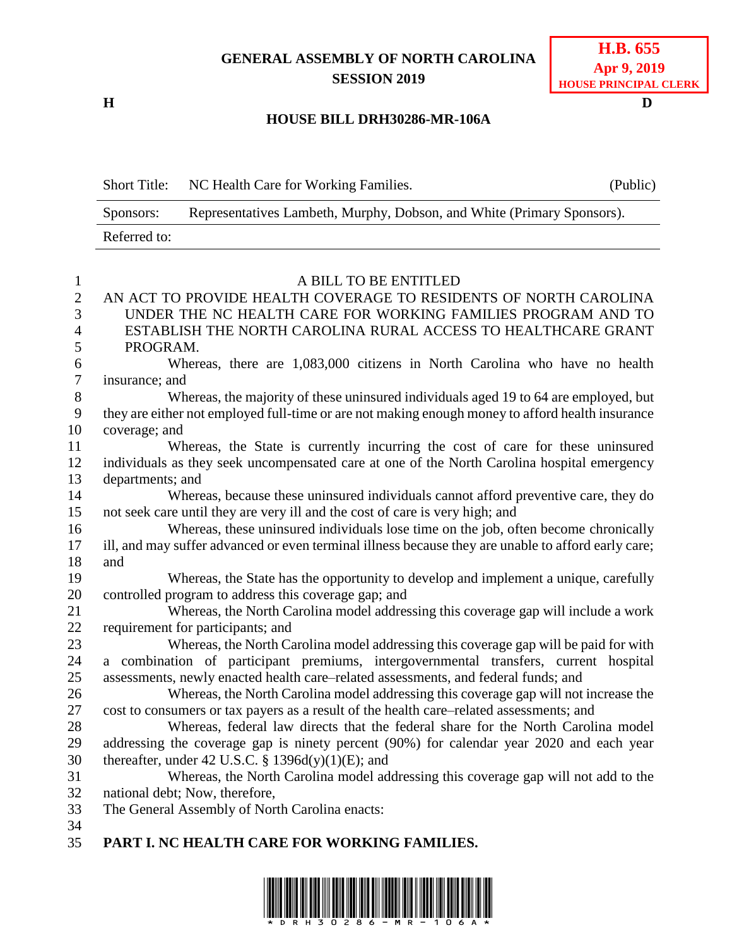## **GENERAL ASSEMBLY OF NORTH CAROLINA SESSION 2019**

## **H.B. 655 Apr 9, 2019 HOUSE PRINCIPAL CLERK**

## **H D HOUSE BILL DRH30286-MR-106A**

|                | <b>Short Title:</b>                                                                              | NC Health Care for Working Families.                                                                | (Public) |
|----------------|--------------------------------------------------------------------------------------------------|-----------------------------------------------------------------------------------------------------|----------|
|                | Sponsors:                                                                                        | Representatives Lambeth, Murphy, Dobson, and White (Primary Sponsors).                              |          |
|                | Referred to:                                                                                     |                                                                                                     |          |
|                |                                                                                                  |                                                                                                     |          |
| $\mathbf{1}$   |                                                                                                  | A BILL TO BE ENTITLED                                                                               |          |
| $\overline{2}$ |                                                                                                  | AN ACT TO PROVIDE HEALTH COVERAGE TO RESIDENTS OF NORTH CAROLINA                                    |          |
| 3              |                                                                                                  | UNDER THE NC HEALTH CARE FOR WORKING FAMILIES PROGRAM AND TO                                        |          |
| 4              |                                                                                                  | ESTABLISH THE NORTH CAROLINA RURAL ACCESS TO HEALTHCARE GRANT                                       |          |
| 5              | PROGRAM.                                                                                         |                                                                                                     |          |
| 6              |                                                                                                  | Whereas, there are 1,083,000 citizens in North Carolina who have no health                          |          |
| $\tau$         | insurance; and                                                                                   |                                                                                                     |          |
| 8              | Whereas, the majority of these uninsured individuals aged 19 to 64 are employed, but             |                                                                                                     |          |
| 9              | they are either not employed full-time or are not making enough money to afford health insurance |                                                                                                     |          |
| 10             | coverage; and                                                                                    |                                                                                                     |          |
| 11             |                                                                                                  | Whereas, the State is currently incurring the cost of care for these uninsured                      |          |
| 12             |                                                                                                  | individuals as they seek uncompensated care at one of the North Carolina hospital emergency         |          |
| 13             | departments; and                                                                                 |                                                                                                     |          |
| 14             |                                                                                                  | Whereas, because these uninsured individuals cannot afford preventive care, they do                 |          |
| 15             |                                                                                                  | not seek care until they are very ill and the cost of care is very high; and                        |          |
| 16             |                                                                                                  | Whereas, these uninsured individuals lose time on the job, often become chronically                 |          |
| 17             |                                                                                                  | ill, and may suffer advanced or even terminal illness because they are unable to afford early care; |          |
| 18             | and                                                                                              |                                                                                                     |          |
| 19             |                                                                                                  | Whereas, the State has the opportunity to develop and implement a unique, carefully                 |          |
| 20             |                                                                                                  | controlled program to address this coverage gap; and                                                |          |
| 21             |                                                                                                  | Whereas, the North Carolina model addressing this coverage gap will include a work                  |          |
| 22             |                                                                                                  | requirement for participants; and                                                                   |          |
| 23             |                                                                                                  | Whereas, the North Carolina model addressing this coverage gap will be paid for with                |          |
| 24             |                                                                                                  | a combination of participant premiums, intergovernmental transfers, current hospital                |          |
| 25             |                                                                                                  | assessments, newly enacted health care-related assessments, and federal funds; and                  |          |
| 26             |                                                                                                  | Whereas, the North Carolina model addressing this coverage gap will not increase the                |          |
| 27             |                                                                                                  | cost to consumers or tax payers as a result of the health care–related assessments; and             |          |
| 28             |                                                                                                  | Whereas, federal law directs that the federal share for the North Carolina model                    |          |
| 29             |                                                                                                  | addressing the coverage gap is ninety percent (90%) for calendar year 2020 and each year            |          |
| 30             |                                                                                                  | thereafter, under 42 U.S.C. § 1396d(y)(1)(E); and                                                   |          |
| 31             |                                                                                                  | Whereas, the North Carolina model addressing this coverage gap will not add to the                  |          |
| 32             |                                                                                                  | national debt; Now, therefore,                                                                      |          |
| 33             |                                                                                                  | The General Assembly of North Carolina enacts:                                                      |          |
| 34             |                                                                                                  |                                                                                                     |          |
| 35             |                                                                                                  | PART I. NC HEALTH CARE FOR WORKING FAMILIES.                                                        |          |

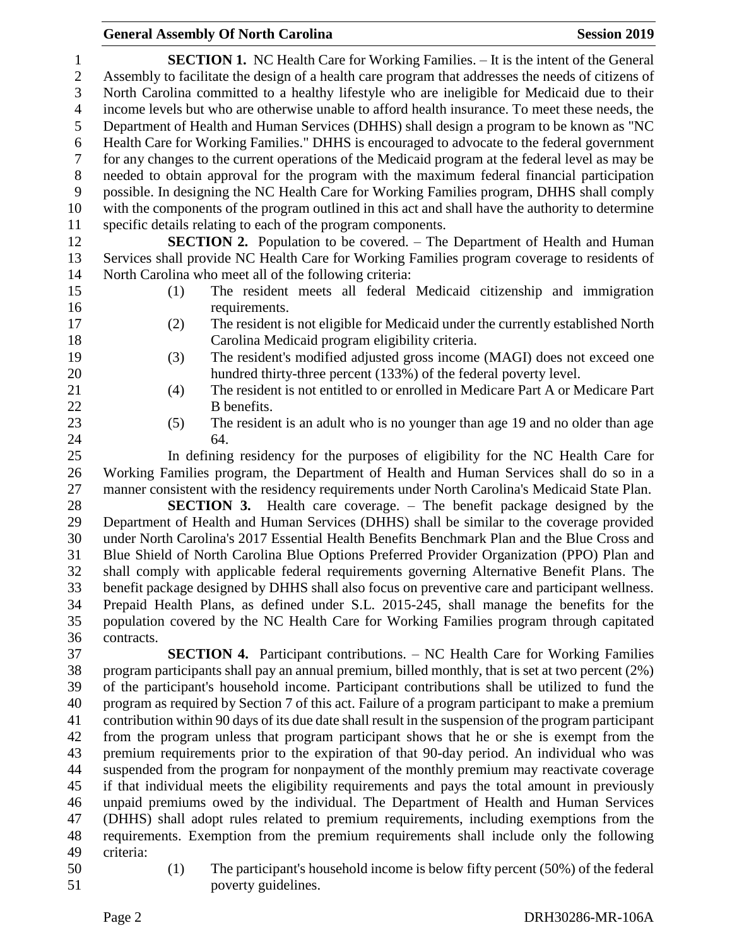**SECTION 1.** NC Health Care for Working Families. – It is the intent of the General Assembly to facilitate the design of a health care program that addresses the needs of citizens of North Carolina committed to a healthy lifestyle who are ineligible for Medicaid due to their income levels but who are otherwise unable to afford health insurance. To meet these needs, the Department of Health and Human Services (DHHS) shall design a program to be known as "NC Health Care for Working Families." DHHS is encouraged to advocate to the federal government for any changes to the current operations of the Medicaid program at the federal level as may be needed to obtain approval for the program with the maximum federal financial participation possible. In designing the NC Health Care for Working Families program, DHHS shall comply with the components of the program outlined in this act and shall have the authority to determine specific details relating to each of the program components. **SECTION 2.** Population to be covered. – The Department of Health and Human Services shall provide NC Health Care for Working Families program coverage to residents of North Carolina who meet all of the following criteria: (1) The resident meets all federal Medicaid citizenship and immigration 16 requirements. (2) The resident is not eligible for Medicaid under the currently established North Carolina Medicaid program eligibility criteria. (3) The resident's modified adjusted gross income (MAGI) does not exceed one hundred thirty-three percent (133%) of the federal poverty level. (4) The resident is not entitled to or enrolled in Medicare Part A or Medicare Part 22 B benefits. (5) The resident is an adult who is no younger than age 19 and no older than age 64. In defining residency for the purposes of eligibility for the NC Health Care for Working Families program, the Department of Health and Human Services shall do so in a manner consistent with the residency requirements under North Carolina's Medicaid State Plan. **SECTION 3.** Health care coverage. – The benefit package designed by the Department of Health and Human Services (DHHS) shall be similar to the coverage provided under North Carolina's 2017 Essential Health Benefits Benchmark Plan and the Blue Cross and Blue Shield of North Carolina Blue Options Preferred Provider Organization (PPO) Plan and shall comply with applicable federal requirements governing Alternative Benefit Plans. The benefit package designed by DHHS shall also focus on preventive care and participant wellness. Prepaid Health Plans, as defined under S.L. 2015-245, shall manage the benefits for the population covered by the NC Health Care for Working Families program through capitated contracts. **SECTION 4.** Participant contributions. – NC Health Care for Working Families program participants shall pay an annual premium, billed monthly, that is set at two percent (2%) of the participant's household income. Participant contributions shall be utilized to fund the program as required by Section 7 of this act. Failure of a program participant to make a premium

 contribution within 90 days of its due date shall result in the suspension of the program participant from the program unless that program participant shows that he or she is exempt from the premium requirements prior to the expiration of that 90-day period. An individual who was suspended from the program for nonpayment of the monthly premium may reactivate coverage if that individual meets the eligibility requirements and pays the total amount in previously unpaid premiums owed by the individual. The Department of Health and Human Services (DHHS) shall adopt rules related to premium requirements, including exemptions from the requirements. Exemption from the premium requirements shall include only the following criteria:

 (1) The participant's household income is below fifty percent (50%) of the federal poverty guidelines.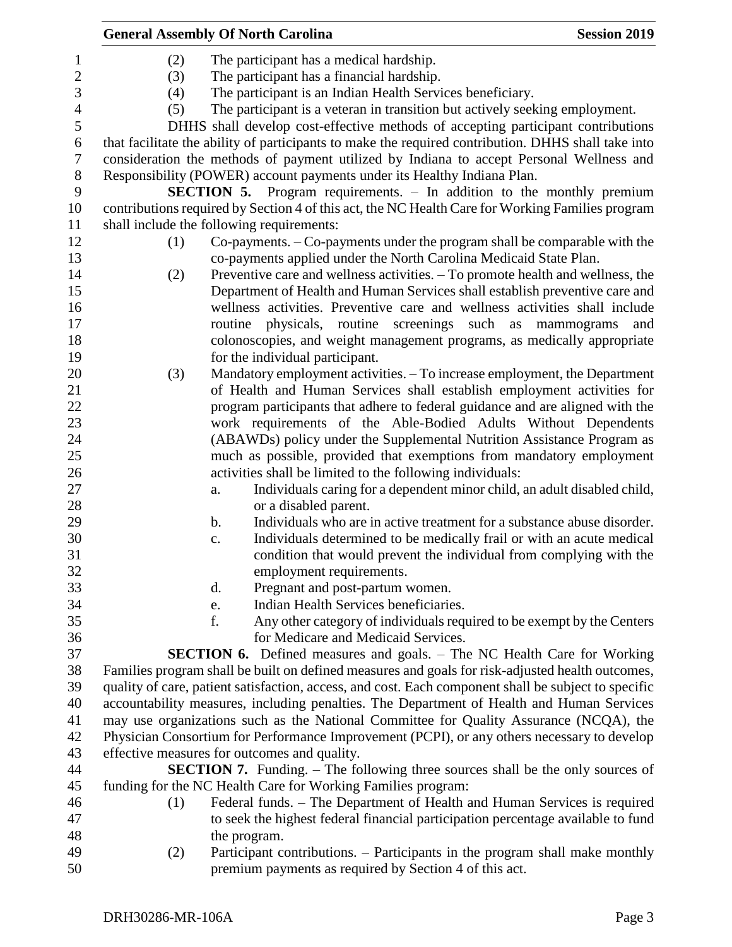|                  |     | <b>General Assembly Of North Carolina</b>                                                                                                     | <b>Session 2019</b> |
|------------------|-----|-----------------------------------------------------------------------------------------------------------------------------------------------|---------------------|
| $\mathbf{1}$     | (2) | The participant has a medical hardship.                                                                                                       |                     |
| $\boldsymbol{2}$ | (3) | The participant has a financial hardship.                                                                                                     |                     |
| 3                | (4) | The participant is an Indian Health Services beneficiary.                                                                                     |                     |
| $\overline{4}$   | (5) | The participant is a veteran in transition but actively seeking employment.                                                                   |                     |
| 5                |     | DHHS shall develop cost-effective methods of accepting participant contributions                                                              |                     |
| 6                |     | that facilitate the ability of participants to make the required contribution. DHHS shall take into                                           |                     |
| $\tau$           |     | consideration the methods of payment utilized by Indiana to accept Personal Wellness and                                                      |                     |
| $8\,$            |     | Responsibility (POWER) account payments under its Healthy Indiana Plan.                                                                       |                     |
| 9                |     | <b>SECTION 5.</b> Program requirements. – In addition to the monthly premium                                                                  |                     |
| 10<br>11         |     | contributions required by Section 4 of this act, the NC Health Care for Working Families program<br>shall include the following requirements: |                     |
| 12               | (1) | Co-payments. - Co-payments under the program shall be comparable with the                                                                     |                     |
| 13               |     | co-payments applied under the North Carolina Medicaid State Plan.                                                                             |                     |
| 14               | (2) | Preventive care and wellness activities. – To promote health and wellness, the                                                                |                     |
| 15               |     | Department of Health and Human Services shall establish preventive care and                                                                   |                     |
| 16               |     | wellness activities. Preventive care and wellness activities shall include                                                                    |                     |
| 17               |     | routine physicals, routine screenings such as mammograms                                                                                      | and                 |
| 18               |     | colonoscopies, and weight management programs, as medically appropriate                                                                       |                     |
| 19               |     | for the individual participant.                                                                                                               |                     |
| 20               | (3) | Mandatory employment activities. - To increase employment, the Department                                                                     |                     |
| 21               |     | of Health and Human Services shall establish employment activities for                                                                        |                     |
| 22               |     | program participants that adhere to federal guidance and are aligned with the                                                                 |                     |
| 23               |     | work requirements of the Able-Bodied Adults Without Dependents                                                                                |                     |
| 24               |     | (ABAWDs) policy under the Supplemental Nutrition Assistance Program as                                                                        |                     |
| 25               |     | much as possible, provided that exemptions from mandatory employment                                                                          |                     |
| 26               |     | activities shall be limited to the following individuals:                                                                                     |                     |
| 27               |     | Individuals caring for a dependent minor child, an adult disabled child,<br>a.                                                                |                     |
| 28               |     | or a disabled parent.                                                                                                                         |                     |
| 29               |     | Individuals who are in active treatment for a substance abuse disorder.<br>$\mathbf b$ .                                                      |                     |
| 30               |     | Individuals determined to be medically frail or with an acute medical<br>$\mathbf{c}$ .                                                       |                     |
| 31               |     | condition that would prevent the individual from complying with the                                                                           |                     |
| 32               |     | employment requirements.                                                                                                                      |                     |
| 33               |     | Pregnant and post-partum women.<br>d.                                                                                                         |                     |
| 34               |     | Indian Health Services beneficiaries.<br>e.                                                                                                   |                     |
| 35               |     | f.<br>Any other category of individuals required to be exempt by the Centers                                                                  |                     |
| 36               |     | for Medicare and Medicaid Services.                                                                                                           |                     |
| 37               |     | <b>SECTION 6.</b> Defined measures and goals. – The NC Health Care for Working                                                                |                     |
| 38               |     | Families program shall be built on defined measures and goals for risk-adjusted health outcomes,                                              |                     |
| 39               |     | quality of care, patient satisfaction, access, and cost. Each component shall be subject to specific                                          |                     |
| 40               |     | accountability measures, including penalties. The Department of Health and Human Services                                                     |                     |
| 41               |     | may use organizations such as the National Committee for Quality Assurance (NCQA), the                                                        |                     |
| 42               |     | Physician Consortium for Performance Improvement (PCPI), or any others necessary to develop                                                   |                     |
| 43               |     | effective measures for outcomes and quality.                                                                                                  |                     |
| 44               |     | <b>SECTION 7.</b> Funding. – The following three sources shall be the only sources of                                                         |                     |
| 45               |     | funding for the NC Health Care for Working Families program:                                                                                  |                     |
| 46               | (1) | Federal funds. - The Department of Health and Human Services is required                                                                      |                     |
| 47               |     | to seek the highest federal financial participation percentage available to fund                                                              |                     |
| 48               |     | the program.                                                                                                                                  |                     |
| 49               | (2) | Participant contributions. – Participants in the program shall make monthly                                                                   |                     |
| 50               |     | premium payments as required by Section 4 of this act.                                                                                        |                     |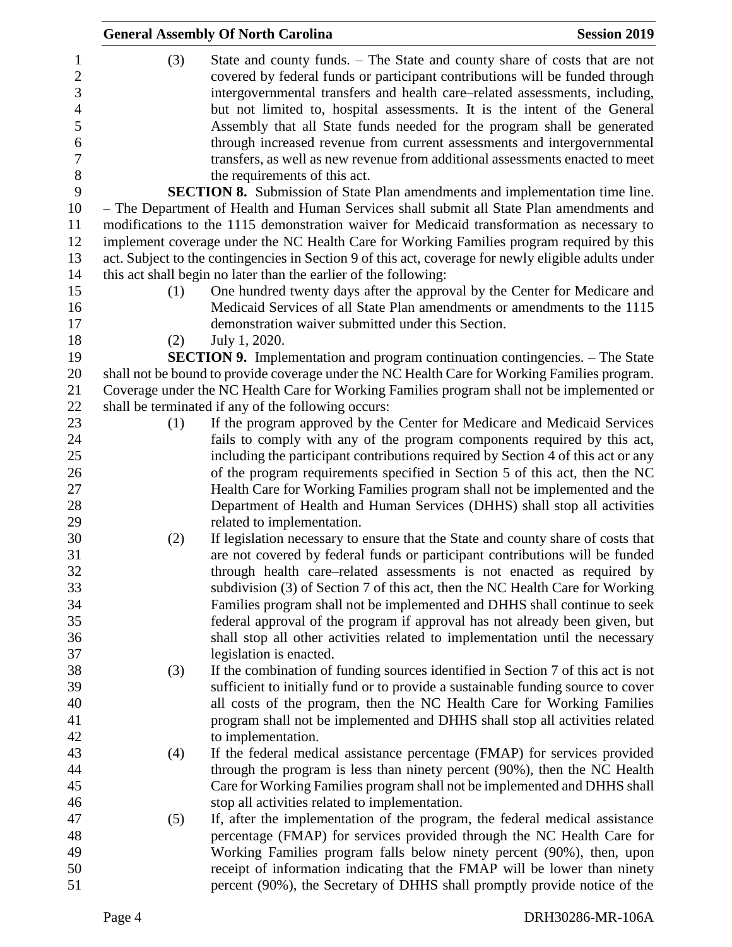|                                                                                                |     | <b>General Assembly Of North Carolina</b>                                                                                                                                                                                                                                                                                                                                                                                                                                                                                                                                                       | <b>Session 2019</b> |
|------------------------------------------------------------------------------------------------|-----|-------------------------------------------------------------------------------------------------------------------------------------------------------------------------------------------------------------------------------------------------------------------------------------------------------------------------------------------------------------------------------------------------------------------------------------------------------------------------------------------------------------------------------------------------------------------------------------------------|---------------------|
| $\mathbf{1}$<br>$\overline{2}$<br>3<br>$\overline{4}$<br>5<br>6<br>$\boldsymbol{7}$<br>$\,8\,$ | (3) | State and county funds. – The State and county share of costs that are not<br>covered by federal funds or participant contributions will be funded through<br>intergovernmental transfers and health care-related assessments, including,<br>but not limited to, hospital assessments. It is the intent of the General<br>Assembly that all State funds needed for the program shall be generated<br>through increased revenue from current assessments and intergovernmental<br>transfers, as well as new revenue from additional assessments enacted to meet<br>the requirements of this act. |                     |
| 9                                                                                              |     | <b>SECTION 8.</b> Submission of State Plan amendments and implementation time line.                                                                                                                                                                                                                                                                                                                                                                                                                                                                                                             |                     |
| 10                                                                                             |     | - The Department of Health and Human Services shall submit all State Plan amendments and                                                                                                                                                                                                                                                                                                                                                                                                                                                                                                        |                     |
| 11                                                                                             |     | modifications to the 1115 demonstration waiver for Medicaid transformation as necessary to                                                                                                                                                                                                                                                                                                                                                                                                                                                                                                      |                     |
| 12                                                                                             |     | implement coverage under the NC Health Care for Working Families program required by this                                                                                                                                                                                                                                                                                                                                                                                                                                                                                                       |                     |
| 13                                                                                             |     | act. Subject to the contingencies in Section 9 of this act, coverage for newly eligible adults under                                                                                                                                                                                                                                                                                                                                                                                                                                                                                            |                     |
| 14                                                                                             |     | this act shall begin no later than the earlier of the following:                                                                                                                                                                                                                                                                                                                                                                                                                                                                                                                                |                     |
| 15<br>16<br>17                                                                                 | (1) | One hundred twenty days after the approval by the Center for Medicare and<br>Medicaid Services of all State Plan amendments or amendments to the 1115<br>demonstration waiver submitted under this Section.                                                                                                                                                                                                                                                                                                                                                                                     |                     |
| 18                                                                                             | (2) | July 1, 2020.                                                                                                                                                                                                                                                                                                                                                                                                                                                                                                                                                                                   |                     |
| 19                                                                                             |     | <b>SECTION 9.</b> Implementation and program continuation contingencies. - The State                                                                                                                                                                                                                                                                                                                                                                                                                                                                                                            |                     |
| 20<br>21                                                                                       |     | shall not be bound to provide coverage under the NC Health Care for Working Families program.<br>Coverage under the NC Health Care for Working Families program shall not be implemented or                                                                                                                                                                                                                                                                                                                                                                                                     |                     |
| 22                                                                                             |     | shall be terminated if any of the following occurs:                                                                                                                                                                                                                                                                                                                                                                                                                                                                                                                                             |                     |
| 23                                                                                             | (1) | If the program approved by the Center for Medicare and Medicaid Services                                                                                                                                                                                                                                                                                                                                                                                                                                                                                                                        |                     |
| 24                                                                                             |     | fails to comply with any of the program components required by this act,                                                                                                                                                                                                                                                                                                                                                                                                                                                                                                                        |                     |
| 25                                                                                             |     | including the participant contributions required by Section 4 of this act or any                                                                                                                                                                                                                                                                                                                                                                                                                                                                                                                |                     |
| 26                                                                                             |     | of the program requirements specified in Section 5 of this act, then the NC                                                                                                                                                                                                                                                                                                                                                                                                                                                                                                                     |                     |
| 27                                                                                             |     | Health Care for Working Families program shall not be implemented and the                                                                                                                                                                                                                                                                                                                                                                                                                                                                                                                       |                     |
| 28                                                                                             |     | Department of Health and Human Services (DHHS) shall stop all activities                                                                                                                                                                                                                                                                                                                                                                                                                                                                                                                        |                     |
| 29                                                                                             |     | related to implementation.                                                                                                                                                                                                                                                                                                                                                                                                                                                                                                                                                                      |                     |
| 30                                                                                             | (2) | If legislation necessary to ensure that the State and county share of costs that                                                                                                                                                                                                                                                                                                                                                                                                                                                                                                                |                     |
| 31                                                                                             |     | are not covered by federal funds or participant contributions will be funded                                                                                                                                                                                                                                                                                                                                                                                                                                                                                                                    |                     |
| 32                                                                                             |     | through health care-related assessments is not enacted as required by                                                                                                                                                                                                                                                                                                                                                                                                                                                                                                                           |                     |
| 33                                                                                             |     | subdivision (3) of Section 7 of this act, then the NC Health Care for Working                                                                                                                                                                                                                                                                                                                                                                                                                                                                                                                   |                     |
| 34                                                                                             |     | Families program shall not be implemented and DHHS shall continue to seek                                                                                                                                                                                                                                                                                                                                                                                                                                                                                                                       |                     |
| 35<br>36                                                                                       |     | federal approval of the program if approval has not already been given, but<br>shall stop all other activities related to implementation until the necessary                                                                                                                                                                                                                                                                                                                                                                                                                                    |                     |
| 37                                                                                             |     | legislation is enacted.                                                                                                                                                                                                                                                                                                                                                                                                                                                                                                                                                                         |                     |
| 38                                                                                             | (3) | If the combination of funding sources identified in Section 7 of this act is not                                                                                                                                                                                                                                                                                                                                                                                                                                                                                                                |                     |
| 39                                                                                             |     | sufficient to initially fund or to provide a sustainable funding source to cover                                                                                                                                                                                                                                                                                                                                                                                                                                                                                                                |                     |
| 40                                                                                             |     | all costs of the program, then the NC Health Care for Working Families                                                                                                                                                                                                                                                                                                                                                                                                                                                                                                                          |                     |
| 41                                                                                             |     | program shall not be implemented and DHHS shall stop all activities related                                                                                                                                                                                                                                                                                                                                                                                                                                                                                                                     |                     |
| 42                                                                                             |     | to implementation.                                                                                                                                                                                                                                                                                                                                                                                                                                                                                                                                                                              |                     |
| 43                                                                                             | (4) | If the federal medical assistance percentage (FMAP) for services provided                                                                                                                                                                                                                                                                                                                                                                                                                                                                                                                       |                     |
| 44<br>45                                                                                       |     | through the program is less than ninety percent (90%), then the NC Health<br>Care for Working Families program shall not be implemented and DHHS shall                                                                                                                                                                                                                                                                                                                                                                                                                                          |                     |
| 46                                                                                             |     | stop all activities related to implementation.                                                                                                                                                                                                                                                                                                                                                                                                                                                                                                                                                  |                     |
| 47                                                                                             | (5) | If, after the implementation of the program, the federal medical assistance                                                                                                                                                                                                                                                                                                                                                                                                                                                                                                                     |                     |
| 48                                                                                             |     | percentage (FMAP) for services provided through the NC Health Care for                                                                                                                                                                                                                                                                                                                                                                                                                                                                                                                          |                     |
| 49                                                                                             |     | Working Families program falls below ninety percent (90%), then, upon                                                                                                                                                                                                                                                                                                                                                                                                                                                                                                                           |                     |
| 50                                                                                             |     | receipt of information indicating that the FMAP will be lower than ninety                                                                                                                                                                                                                                                                                                                                                                                                                                                                                                                       |                     |
| 51                                                                                             |     | percent (90%), the Secretary of DHHS shall promptly provide notice of the                                                                                                                                                                                                                                                                                                                                                                                                                                                                                                                       |                     |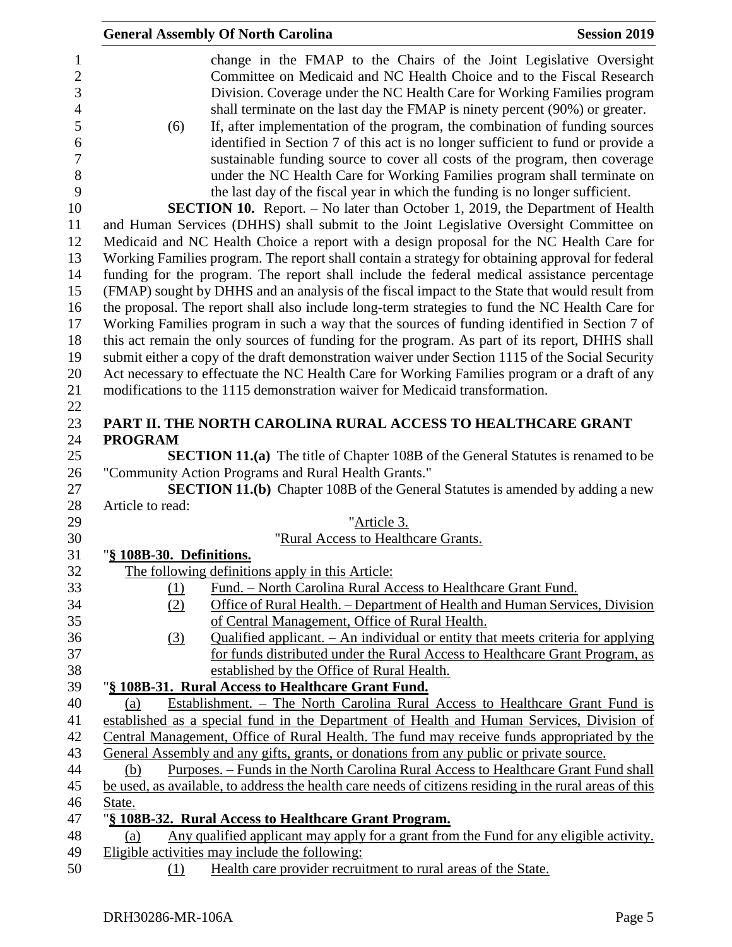|                              | <b>General Assembly Of North Carolina</b>                                                                                                                                      | <b>Session 2019</b> |
|------------------------------|--------------------------------------------------------------------------------------------------------------------------------------------------------------------------------|---------------------|
| $\mathbf{1}$<br>$\mathbf{2}$ | change in the FMAP to the Chairs of the Joint Legislative Oversight<br>Committee on Medicaid and NC Health Choice and to the Fiscal Research                                   |                     |
| 3                            | Division. Coverage under the NC Health Care for Working Families program                                                                                                       |                     |
| $\overline{4}$               | shall terminate on the last day the FMAP is ninety percent (90%) or greater.                                                                                                   |                     |
| 5                            | If, after implementation of the program, the combination of funding sources<br>(6)                                                                                             |                     |
| 6                            | identified in Section 7 of this act is no longer sufficient to fund or provide a                                                                                               |                     |
| $\overline{7}$               | sustainable funding source to cover all costs of the program, then coverage                                                                                                    |                     |
| 8                            | under the NC Health Care for Working Families program shall terminate on                                                                                                       |                     |
| 9                            | the last day of the fiscal year in which the funding is no longer sufficient.                                                                                                  |                     |
| 10<br>11                     | <b>SECTION 10.</b> Report. – No later than October 1, 2019, the Department of Health<br>and Human Services (DHHS) shall submit to the Joint Legislative Oversight Committee on |                     |
| 12                           | Medicaid and NC Health Choice a report with a design proposal for the NC Health Care for                                                                                       |                     |
| 13                           | Working Families program. The report shall contain a strategy for obtaining approval for federal                                                                               |                     |
| 14                           | funding for the program. The report shall include the federal medical assistance percentage                                                                                    |                     |
| 15                           | (FMAP) sought by DHHS and an analysis of the fiscal impact to the State that would result from                                                                                 |                     |
| 16                           | the proposal. The report shall also include long-term strategies to fund the NC Health Care for                                                                                |                     |
| 17                           | Working Families program in such a way that the sources of funding identified in Section 7 of                                                                                  |                     |
| 18                           | this act remain the only sources of funding for the program. As part of its report, DHHS shall                                                                                 |                     |
| 19                           | submit either a copy of the draft demonstration waiver under Section 1115 of the Social Security                                                                               |                     |
| 20                           | Act necessary to effectuate the NC Health Care for Working Families program or a draft of any                                                                                  |                     |
| 21                           | modifications to the 1115 demonstration waiver for Medicaid transformation.                                                                                                    |                     |
| 22                           |                                                                                                                                                                                |                     |
| 23                           | PART II. THE NORTH CAROLINA RURAL ACCESS TO HEALTHCARE GRANT                                                                                                                   |                     |
| 24                           | <b>PROGRAM</b>                                                                                                                                                                 |                     |
| 25                           | <b>SECTION 11.(a)</b> The title of Chapter 108B of the General Statutes is renamed to be                                                                                       |                     |
| 26                           | "Community Action Programs and Rural Health Grants."                                                                                                                           |                     |
| 27                           | <b>SECTION 11.(b)</b> Chapter 108B of the General Statutes is amended by adding a new                                                                                          |                     |
| 28                           | Article to read:                                                                                                                                                               |                     |
| 29<br>30                     | "Article 3.<br>"Rural Access to Healthcare Grants.                                                                                                                             |                     |
| 31                           | "§ 108B-30. Definitions.                                                                                                                                                       |                     |
| 32                           | The following definitions apply in this Article:                                                                                                                               |                     |
| 33                           | Fund. - North Carolina Rural Access to Healthcare Grant Fund.<br>(1)                                                                                                           |                     |
| 34                           | Office of Rural Health. – Department of Health and Human Services, Division<br>(2)                                                                                             |                     |
| 35                           | of Central Management, Office of Rural Health.                                                                                                                                 |                     |
| 36                           | Qualified applicant. - An individual or entity that meets criteria for applying<br>(3)                                                                                         |                     |
| 37                           | for funds distributed under the Rural Access to Healthcare Grant Program, as                                                                                                   |                     |
| 38                           | established by the Office of Rural Health.                                                                                                                                     |                     |
| 39                           | "§ 108B-31. Rural Access to Healthcare Grant Fund.                                                                                                                             |                     |
| 40                           | Establishment. - The North Carolina Rural Access to Healthcare Grant Fund is<br>(a)                                                                                            |                     |
| 41                           | established as a special fund in the Department of Health and Human Services, Division of                                                                                      |                     |
| 42                           | Central Management, Office of Rural Health. The fund may receive funds appropriated by the                                                                                     |                     |
| 43                           | General Assembly and any gifts, grants, or donations from any public or private source.                                                                                        |                     |
| 44                           | Purposes. – Funds in the North Carolina Rural Access to Healthcare Grant Fund shall<br>(b)                                                                                     |                     |
| 45                           | be used, as available, to address the health care needs of citizens residing in the rural areas of this                                                                        |                     |
| 46                           | State.                                                                                                                                                                         |                     |
| 47<br>48                     | "§ 108B-32. Rural Access to Healthcare Grant Program.<br>Any qualified applicant may apply for a grant from the Fund for any eligible activity.                                |                     |
| 49                           | (a)<br>Eligible activities may include the following:                                                                                                                          |                     |
| 50                           | Health care provider recruitment to rural areas of the State.<br>(1)                                                                                                           |                     |
|                              |                                                                                                                                                                                |                     |